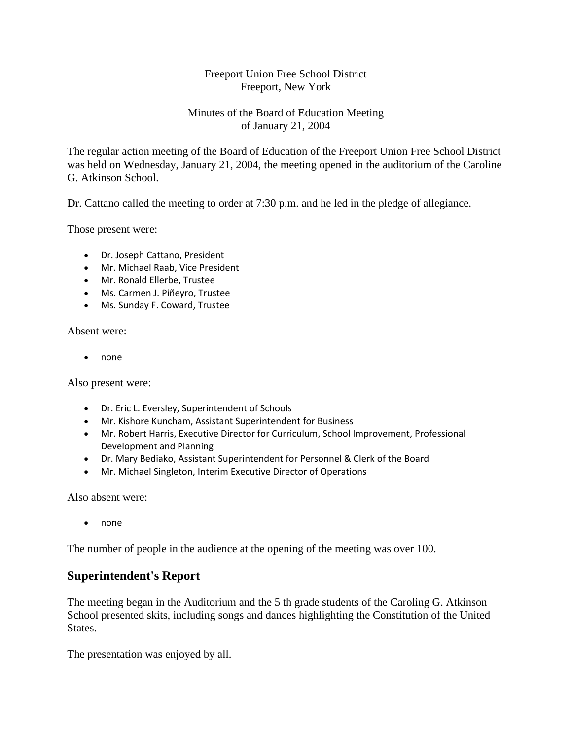#### Freeport Union Free School District Freeport, New York

### Minutes of the Board of Education Meeting of January 21, 2004

The regular action meeting of the Board of Education of the Freeport Union Free School District was held on Wednesday, January 21, 2004, the meeting opened in the auditorium of the Caroline G. Atkinson School.

Dr. Cattano called the meeting to order at 7:30 p.m. and he led in the pledge of allegiance.

Those present were:

- Dr. Joseph Cattano, President
- Mr. Michael Raab, Vice President
- Mr. Ronald Ellerbe, Trustee
- Ms. Carmen J. Piñeyro, Trustee
- Ms. Sunday F. Coward, Trustee

Absent were:

• none

Also present were:

- Dr. Eric L. Eversley, Superintendent of Schools
- Mr. Kishore Kuncham, Assistant Superintendent for Business
- Mr. Robert Harris, Executive Director for Curriculum, School Improvement, Professional Development and Planning
- Dr. Mary Bediako, Assistant Superintendent for Personnel & Clerk of the Board
- Mr. Michael Singleton, Interim Executive Director of Operations

Also absent were:

• none

The number of people in the audience at the opening of the meeting was over 100.

#### **Superintendent's Report**

The meeting began in the Auditorium and the 5 th grade students of the Caroling G. Atkinson School presented skits, including songs and dances highlighting the Constitution of the United States.

The presentation was enjoyed by all.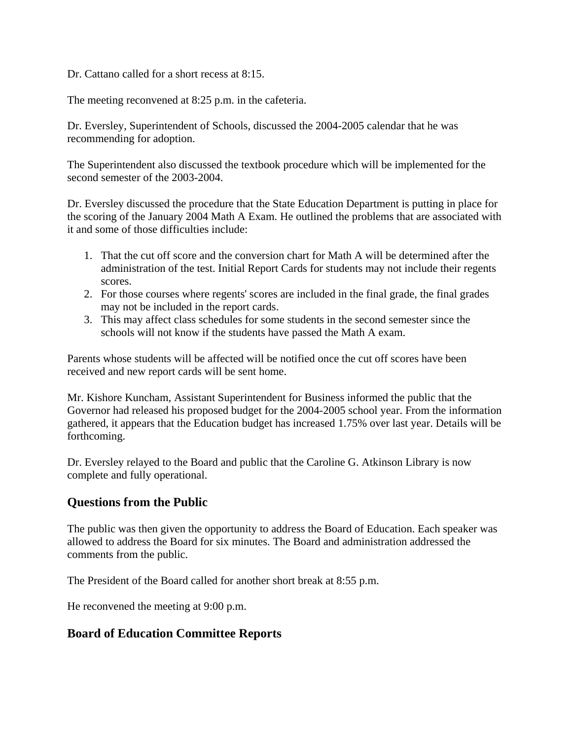Dr. Cattano called for a short recess at 8:15.

The meeting reconvened at 8:25 p.m. in the cafeteria.

Dr. Eversley, Superintendent of Schools, discussed the 2004-2005 calendar that he was recommending for adoption.

The Superintendent also discussed the textbook procedure which will be implemented for the second semester of the 2003-2004.

Dr. Eversley discussed the procedure that the State Education Department is putting in place for the scoring of the January 2004 Math A Exam. He outlined the problems that are associated with it and some of those difficulties include:

- 1. That the cut off score and the conversion chart for Math A will be determined after the administration of the test. Initial Report Cards for students may not include their regents scores.
- 2. For those courses where regents' scores are included in the final grade, the final grades may not be included in the report cards.
- 3. This may affect class schedules for some students in the second semester since the schools will not know if the students have passed the Math A exam.

Parents whose students will be affected will be notified once the cut off scores have been received and new report cards will be sent home.

Mr. Kishore Kuncham, Assistant Superintendent for Business informed the public that the Governor had released his proposed budget for the 2004-2005 school year. From the information gathered, it appears that the Education budget has increased 1.75% over last year. Details will be forthcoming.

Dr. Eversley relayed to the Board and public that the Caroline G. Atkinson Library is now complete and fully operational.

## **Questions from the Public**

The public was then given the opportunity to address the Board of Education. Each speaker was allowed to address the Board for six minutes. The Board and administration addressed the comments from the public.

The President of the Board called for another short break at 8:55 p.m.

He reconvened the meeting at 9:00 p.m.

## **Board of Education Committee Reports**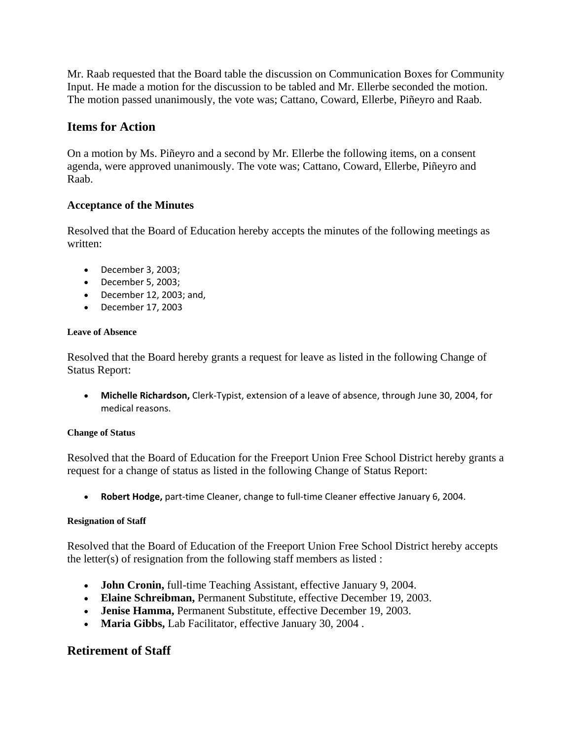Mr. Raab requested that the Board table the discussion on Communication Boxes for Community Input. He made a motion for the discussion to be tabled and Mr. Ellerbe seconded the motion. The motion passed unanimously, the vote was; Cattano, Coward, Ellerbe, Piñeyro and Raab.

## **Items for Action**

On a motion by Ms. Piñeyro and a second by Mr. Ellerbe the following items, on a consent agenda, were approved unanimously. The vote was; Cattano, Coward, Ellerbe, Piñeyro and Raab.

## **Acceptance of the Minutes**

Resolved that the Board of Education hereby accepts the minutes of the following meetings as written:

- December 3, 2003;
- December 5, 2003;
- December 12, 2003; and,
- December 17, 2003

#### **Leave of Absence**

Resolved that the Board hereby grants a request for leave as listed in the following Change of Status Report:

• **Michelle Richardson,** Clerk‐Typist, extension of a leave of absence, through June 30, 2004, for medical reasons.

#### **Change of Status**

Resolved that the Board of Education for the Freeport Union Free School District hereby grants a request for a change of status as listed in the following Change of Status Report:

• **Robert Hodge,** part‐time Cleaner, change to full‐time Cleaner effective January 6, 2004.

#### **Resignation of Staff**

Resolved that the Board of Education of the Freeport Union Free School District hereby accepts the letter(s) of resignation from the following staff members as listed :

- **John Cronin,** full-time Teaching Assistant, effective January 9, 2004.
- **Elaine Schreibman,** Permanent Substitute, effective December 19, 2003.
- **Jenise Hamma,** Permanent Substitute, effective December 19, 2003.
- **Maria Gibbs,** Lab Facilitator, effective January 30, 2004 .

## **Retirement of Staff**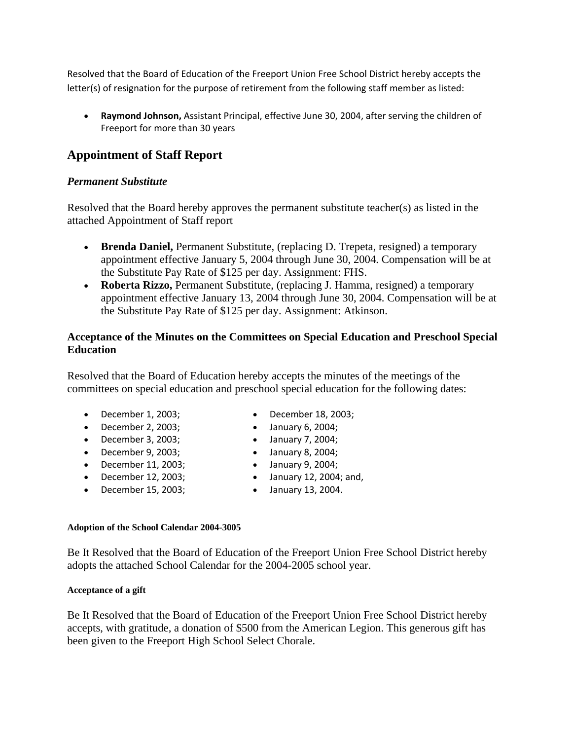Resolved that the Board of Education of the Freeport Union Free School District hereby accepts the letter(s) of resignation for the purpose of retirement from the following staff member as listed:

• **Raymond Johnson,** Assistant Principal, effective June 30, 2004, after serving the children of Freeport for more than 30 years

## **Appointment of Staff Report**

#### *Permanent Substitute*

Resolved that the Board hereby approves the permanent substitute teacher(s) as listed in the attached Appointment of Staff report

- **Brenda Daniel,** Permanent Substitute, (replacing D. Trepeta, resigned) a temporary appointment effective January 5, 2004 through June 30, 2004. Compensation will be at the Substitute Pay Rate of \$125 per day. Assignment: FHS.
- **Roberta Rizzo,** Permanent Substitute, (replacing J. Hamma, resigned) a temporary appointment effective January 13, 2004 through June 30, 2004. Compensation will be at the Substitute Pay Rate of \$125 per day. Assignment: Atkinson.

#### **Acceptance of the Minutes on the Committees on Special Education and Preschool Special Education**

Resolved that the Board of Education hereby accepts the minutes of the meetings of the committees on special education and preschool special education for the following dates:

- December 1, 2003;
- December 2, 2003;
- December 3, 2003;
- December 9, 2003;
- December 11, 2003;
- December 12, 2003;
- December 15, 2003;
- December 18, 2003;
- January 6, 2004;
- January 7, 2004;
- January 8, 2004;
- January 9, 2004;
- January 12, 2004; and,
- January 13, 2004.

#### **Adoption of the School Calendar 2004-3005**

Be It Resolved that the Board of Education of the Freeport Union Free School District hereby adopts the attached School Calendar for the 2004-2005 school year.

#### **Acceptance of a gift**

Be It Resolved that the Board of Education of the Freeport Union Free School District hereby accepts, with gratitude, a donation of \$500 from the American Legion. This generous gift has been given to the Freeport High School Select Chorale.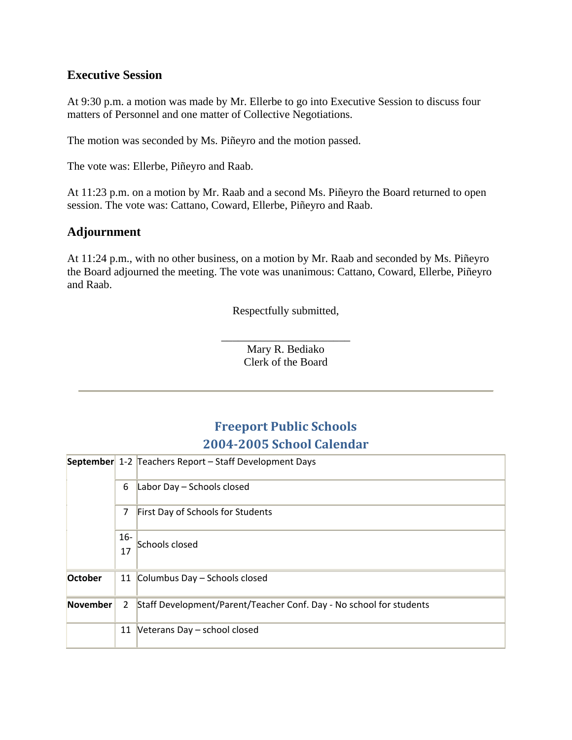## **Executive Session**

At 9:30 p.m. a motion was made by Mr. Ellerbe to go into Executive Session to discuss four matters of Personnel and one matter of Collective Negotiations.

The motion was seconded by Ms. Piñeyro and the motion passed.

The vote was: Ellerbe, Piñeyro and Raab.

At 11:23 p.m. on a motion by Mr. Raab and a second Ms. Piñeyro the Board returned to open session. The vote was: Cattano, Coward, Ellerbe, Piñeyro and Raab.

## **Adjournment**

At 11:24 p.m., with no other business, on a motion by Mr. Raab and seconded by Ms. Piñeyro the Board adjourned the meeting. The vote was unanimous: Cattano, Coward, Ellerbe, Piñeyro and Raab.

Respectfully submitted,

Mary R. Bediako Clerk of the Board

\_\_\_\_\_\_\_\_\_\_\_\_\_\_\_\_\_\_\_\_\_\_\_

# **Freeport Public Schools 20042005 School Calendar**

|                 |                | <b>September</b> 1-2 Teachers Report – Staff Development Days       |
|-----------------|----------------|---------------------------------------------------------------------|
|                 | 6              | Labor Day - Schools closed                                          |
|                 | 7              | <b>First Day of Schools for Students</b>                            |
|                 | $16-$<br>17    | Schools closed                                                      |
| October         | 11             | Columbus Day - Schools closed                                       |
| <b>November</b> | $\overline{2}$ | Staff Development/Parent/Teacher Conf. Day - No school for students |
|                 | 11             | Veterans Day - school closed                                        |